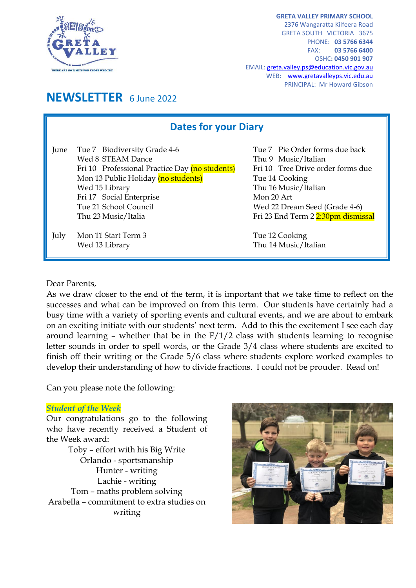

**GRETA VALLEY PRIMARY SCHOOL** 2376 Wangaratta Kilfeera Road GRETA SOUTH VICTORIA 3675 PHONE: **03 5766 6344** FAX: **03 5766 6400** OSHC**: 0450 901 907** EMAIL[: greta.valley.ps@education.vic.gov.au](mailto:greta.valley.ps@education.vic.gov.au) WEB: [www.gretavalleyps.vic.edu.au](http://www.gretavalleyps.vic.edu.au/) PRINCIPAL: Mr Howard Gibson

# **NEWSLETTER** 6 June 2022

| <b>Dates for your Diary</b> |                                                                                                                                                                                                                                          |                                                                                                                                                                                                                           |
|-----------------------------|------------------------------------------------------------------------------------------------------------------------------------------------------------------------------------------------------------------------------------------|---------------------------------------------------------------------------------------------------------------------------------------------------------------------------------------------------------------------------|
| June                        | Tue 7 Biodiversity Grade 4-6<br>Wed 8 STEAM Dance<br>Fri 10 Professional Practice Day (no students)<br>Mon 13 Public Holiday (no students)<br>Wed 15 Library<br>Fri 17 Social Enterprise<br>Tue 21 School Council<br>Thu 23 Music/Italia | Tue 7 Pie Order forms due back<br>Thu 9 Music/Italian<br>Fri 10 Tree Drive order forms due<br>Tue 14 Cooking<br>Thu 16 Music/Italian<br>Mon 20 Art<br>Wed 22 Dream Seed (Grade 4-6)<br>Fri 23 End Term 2 2:30pm dismissal |
| July                        | Mon 11 Start Term 3<br>Wed 13 Library                                                                                                                                                                                                    | Tue 12 Cooking<br>Thu 14 Music/Italian                                                                                                                                                                                    |

#### Dear Parents,

As we draw closer to the end of the term, it is important that we take time to reflect on the successes and what can be improved on from this term. Our students have certainly had a busy time with a variety of sporting events and cultural events, and we are about to embark on an exciting initiate with our students' next term. Add to this the excitement I see each day around learning – whether that be in the  $F/1/2$  class with students learning to recognise letter sounds in order to spell words, or the Grade 3/4 class where students are excited to finish off their writing or the Grade 5/6 class where students explore worked examples to develop their understanding of how to divide fractions. I could not be prouder. Read on!

Can you please note the following:

#### *Student of the Week*

Our congratulations go to the following who have recently received a Student of the Week award:

Toby – effort with his Big Write Orlando - sportsmanship Hunter - writing Lachie - writing Tom – maths problem solving Arabella – commitment to extra studies on writing

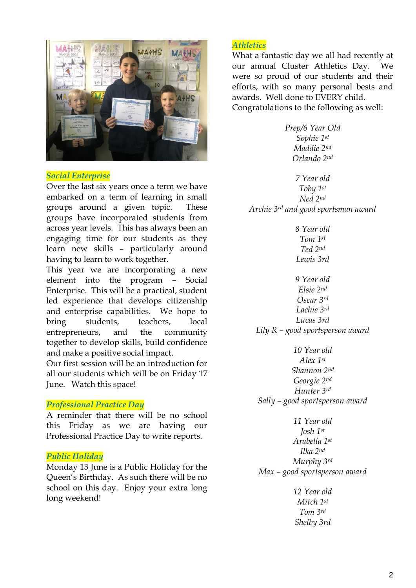

#### *Social Enterprise*

Over the last six years once a term we have embarked on a term of learning in small groups around a given topic. These groups have incorporated students from across year levels. This has always been an engaging time for our students as they learn new skills – particularly around having to learn to work together.

This year we are incorporating a new element into the program – Social Enterprise. This will be a practical, student led experience that develops citizenship and enterprise capabilities. We hope to bring students, teachers, local entrepreneurs, and the community together to develop skills, build confidence and make a positive social impact.

Our first session will be an introduction for all our students which will be on Friday 17 June. Watch this space!

#### *Professional Practice Day*

A reminder that there will be no school this Friday as we are having our Professional Practice Day to write reports.

#### *Public Holiday*

Monday 13 June is a Public Holiday for the Queen's Birthday. As such there will be no school on this day. Enjoy your extra long long weekend!

## *Athletics*

What a fantastic day we all had recently at our annual Cluster Athletics Day. We were so proud of our students and their efforts, with so many personal bests and awards. Well done to EVERY child. Congratulations to the following as well:

> *Prep/6 Year Old Sophie 1st Maddie 2nd Orlando 2nd*

*7 Year old Toby 1st Ned 2nd Archie 3rd and good sportsman award*

> *8 Year old Tom 1st Ted 2nd Lewis 3rd*

*9 Year old Elsie 2nd Oscar 3rd Lachie 3rd Lucas 3rd Lily R – good sportsperson award*

*10 Year old Alex 1st Shannon 2nd Georgie 2nd Hunter 3rd Sally – good sportsperson award*

*11 Year old Josh 1st Arabella 1st Ilka 2nd Murphy 3rd Max – good sportsperson award*

> *12 Year old Mitch 1st Tom 3rd Shelby 3rd*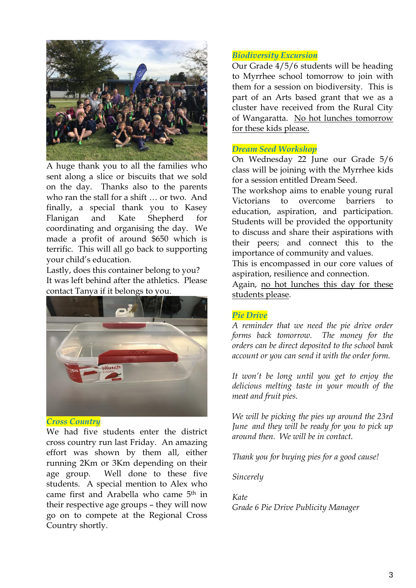

A huge thank you to all the families who sent along a slice or biscuits that we sold on the day. Thanks also to the parents who ran the stall for a shift … or two. And finally, a special thank you to Kasey Flanigan and Kate Shepherd for coordinating and organising the day. We made a profit of around \$650 which is terrific. This will all go back to supporting your child's education.

Lastly, does this container belong to you? It was left behind after the athletics. Please contact Tanya if it belongs to you.



## *Cross Country*

We had five students enter the district cross country run last Friday. An amazing effort was shown by them all, either running 2Km or 3Km depending on their age group. Well done to these five students. A special mention to Alex who came first and Arabella who came 5th in their respective age groups – they will now go on to compete at the Regional Cross Country shortly.

# *Biodiversity Excursion*

Our Grade 4/5/6 students will be heading to Myrrhee school tomorrow to join with them for a session on biodiversity. This is part of an Arts based grant that we as a cluster have received from the Rural City of Wangaratta. No hot lunches tomorrow for these kids please.

## *Dream Seed Workshop*

On Wednesday 22 June our Grade 5/6 class will be joining with the Myrrhee kids for a session entitled Dream Seed.

The workshop aims to enable young rural Victorians to overcome barriers to education, aspiration, and participation. Students will be provided the opportunity to discuss and share their aspirations with their peers; and connect this to the importance of community and values.

This is encompassed in our core values of aspiration, resilience and connection.

Again, no hot lunches this day for these students please.

#### *Pie Drive*

*A reminder that we need the pie drive order forms back tomorrow. The money for the orders can be direct deposited to the school bank account or you can send it with the order form.*

*It won't be long until you get to enjoy the delicious melting taste in your mouth of the meat and fruit pies.*

*We will be picking the pies up around the 23rd June and they will be ready for you to pick up around then. We will be in contact.*

*Thank you for buying pies for a good cause!*

*Sincerely*

*Kate Grade 6 Pie Drive Publicity Manager*